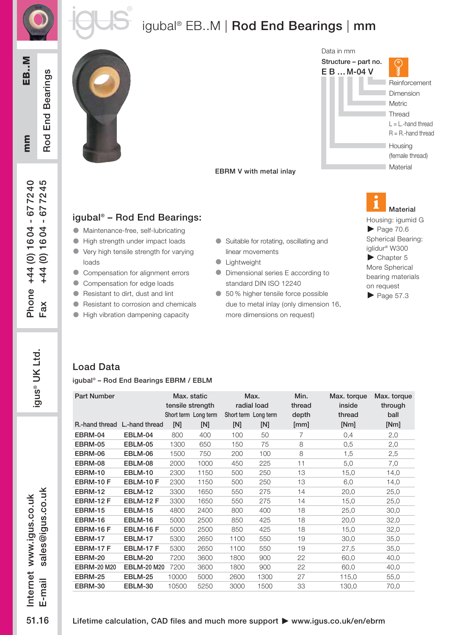



# igubal<sup>®</sup> EB..M | Rod End Bearings | mm

mm EB..M Rod End Bearings mm

EB..M

Phone +44 (0) 16 04 - 67 72 40  $Fax$  +44 (0) 1604 - 677245

Phone +44 (0) 1604 - 677240

+44 (0) 1604 - 677245

 $Fax$ 

 $\ldots$ ali $V$ i $\pm$ :<br>51<br>ה

igus® UK Ltd.

igus® UK Ltd.

Rod End Bearings





#### EBRM V with metal inlay

#### igubal® – Rod End Bearings:

- **In Maintenance-free, self-lubricating**
- **In High strength under impact loads**
- **I** Very high tensile strength for varying loads
- **Compensation for alignment errors**
- **Compensation for edge loads**
- **e** Resistant to dirt, dust and lint
- **lacks** Resistant to corrosion and chemicals
- High vibration dampening capacity
- **C** Suitable for rotating, oscillating and linear movements
- **C** Lightweight
- **In Dimensional series E according to** standard DIN ISO 12240
- 50 % higher tensile force possible due to metal inlay (only dimension 16, more dimensions on request)

Housing: igumid G  $\blacktriangleright$  Page 70.6 Spherical Bearing: iglidur® W300 Chapter 5 More Spherical bearing materials on request  $\blacktriangleright$  Page 57.3 Material

### Load Data

igubal® – Rod End Bearings EBRM / EBLM

| <b>Part Number</b>            |                    | Max. static<br>tensile strength<br>Short term Long term |      | Max.<br>radial load<br>Short term Long term |      | Min.<br>thread<br>depth | Max. torque<br>inside<br>thread | Max. torque<br>through<br>ball |  |
|-------------------------------|--------------------|---------------------------------------------------------|------|---------------------------------------------|------|-------------------------|---------------------------------|--------------------------------|--|
| R.-hand thread L.-hand thread |                    | [N]                                                     | [N]  | [N]                                         | [N]  | [mm]                    | [Nm]                            | [Nm]                           |  |
| EBRM-04                       | EBLM-04            | 800                                                     | 400  | 100                                         | 50   | 7                       | 0,4                             | 2,0                            |  |
| EBRM-05                       | EBLM-05            | 1300                                                    | 650  | 150                                         | 75   | 8                       | 0,5                             | 2,0                            |  |
| EBRM-06                       | EBLM-06            | 1500                                                    | 750  | 200                                         | 100  | 8                       | 1,5                             | 2,5                            |  |
| EBRM-08                       | EBLM-08            | 2000                                                    | 1000 | 450                                         | 225  | 11                      | 5,0                             | 7,0                            |  |
| EBRM-10                       | EBLM-10            | 2300                                                    | 1150 | 500                                         | 250  | 13                      | 15,0                            | 14,0                           |  |
| EBRM-10F                      | EBLM-10F           | 2300                                                    | 1150 | 500                                         | 250  | 13                      | 6,0                             | 14,0                           |  |
| EBRM-12                       | <b>EBLM-12</b>     | 3300                                                    | 1650 | 550                                         | 275  | 14                      | 20,0                            | 25,0                           |  |
| EBRM-12 F                     | EBLM-12 F          | 3300                                                    | 1650 | 550                                         | 275  | 14                      | 15,0                            | 25,0                           |  |
| <b>EBRM-15</b>                | <b>EBLM-15</b>     | 4800                                                    | 2400 | 800                                         | 400  | 18                      | 25,0                            | 30,0                           |  |
| EBRM-16                       | EBLM-16            | 5000                                                    | 2500 | 850                                         | 425  | 18                      | 20,0                            | 32,0                           |  |
| EBRM-16F                      | EBLM-16 F          | 5000                                                    | 2500 | 850                                         | 425  | 18                      | 15,0                            | 32,0                           |  |
| EBRM-17                       | <b>EBLM-17</b>     | 5300                                                    | 2650 | 1100                                        | 550  | 19                      | 30,0                            | 35,0                           |  |
| EBRM-17F                      | EBLM-17 F          | 5300                                                    | 2650 | 1100                                        | 550  | 19                      | 27,5                            | 35,0                           |  |
| EBRM-20                       | EBLM-20            | 7200                                                    | 3600 | 1800                                        | 900  | 22                      | 60,0                            | 40,0                           |  |
| <b>EBRM-20 M20</b>            | <b>EBLM-20 M20</b> | 7200                                                    | 3600 | 1800                                        | 900  | 22                      | 60,0                            | 40,0                           |  |
| EBRM-25                       | <b>EBLM-25</b>     | 10000                                                   | 5000 | 2600                                        | 1300 | 27                      | 115,0                           | 55,0                           |  |
| EBRM-30                       | EBLM-30            | 10500                                                   | 5250 | 3000                                        | 1500 | 33                      | 130,0                           | 70,0                           |  |

sales@igus.co.uk sales@igus.co.uk Internet www.igus.co.uk www.igus.co.uk Internet www.igus.co  $E$ -mail sales@igus.c E-mail 51.16